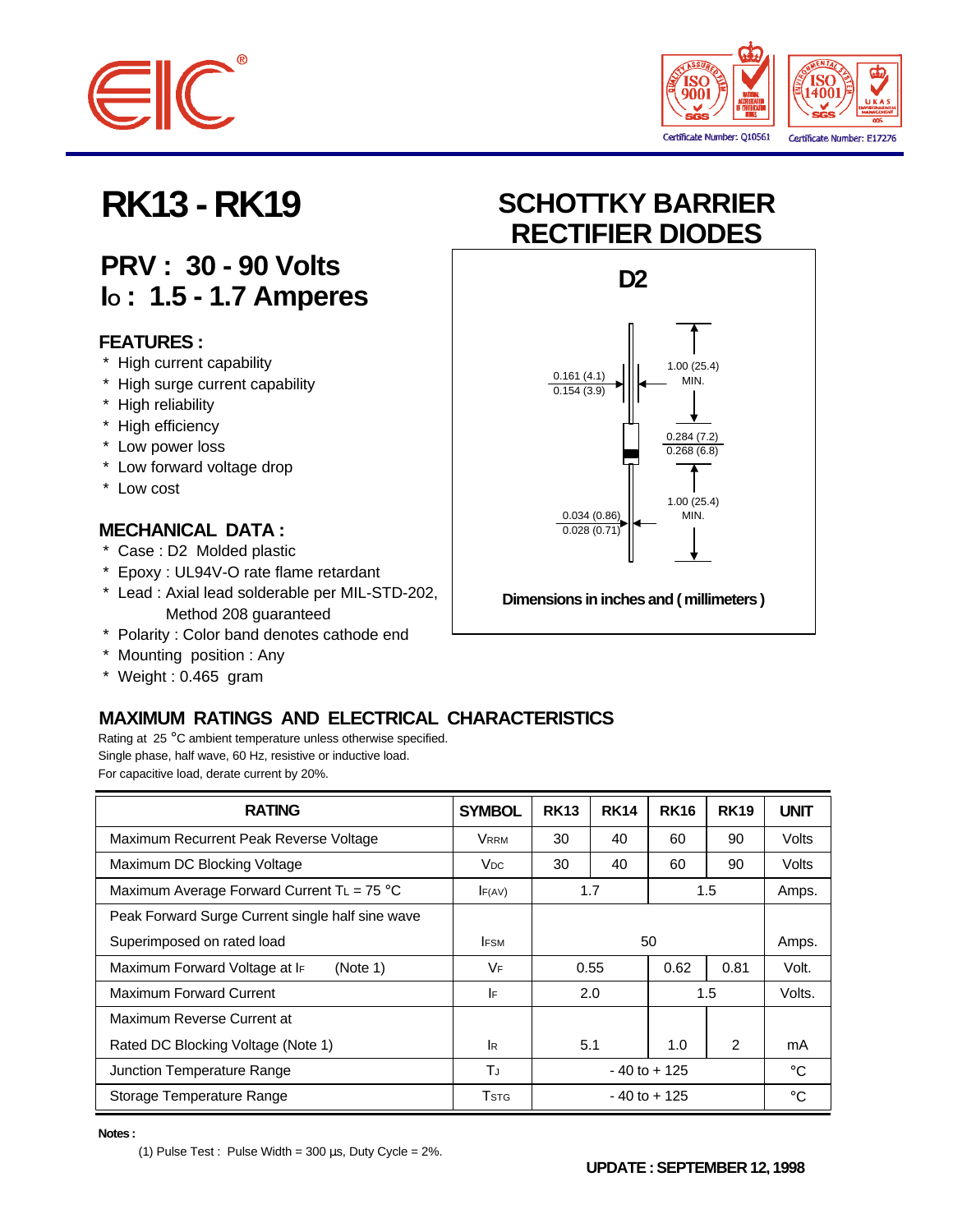



## **PRV : 30 - 90 Volts IO : 1.5 - 1.7 Amperes**

#### **FEATURES :**

- \* High current capability
- \* High surge current capability
- \* High reliability
- \* High efficiency
- \* Low power loss
- \* Low forward voltage drop
- \* Low cost

#### **MECHANICAL DATA :**

- \* Case : D2 Molded plastic
- \* Epoxy : UL94V-O rate flame retardant
- \* Lead : Axial lead solderable per MIL-STD-202, Method 208 guaranteed
- \* Polarity : Color band denotes cathode end
- \* Mounting position : Any
- \* Weight : 0.465 gram

### **MAXIMUM RATINGS AND ELECTRICAL CHARACTERISTICS**

Rating at 25 °C ambient temperature unless otherwise specified. Single phase, half wave, 60 Hz, resistive or inductive load. For capacitive load, derate current by 20%.

| <b>RATING</b>                                       | <b>SYMBOL</b>   | <b>RK13</b>     | <b>RK14</b> | <b>RK16</b> | <b>RK19</b>   | <b>UNIT</b> |
|-----------------------------------------------------|-----------------|-----------------|-------------|-------------|---------------|-------------|
| Maximum Recurrent Peak Reverse Voltage              | <b>VRRM</b>     | 30              | 40          | 60          | 90            | Volts       |
| Maximum DC Blocking Voltage                         | V <sub>DC</sub> | 30              | 40          | 60          | 90            | Volts       |
| Maximum Average Forward Current TL = $75^{\circ}$ C | F(AV)           | 1.7             |             | $1.5\,$     |               | Amps.       |
| Peak Forward Surge Current single half sine wave    |                 |                 |             |             |               |             |
| Superimposed on rated load                          | <b>IFSM</b>     | 50              |             |             | Amps.         |             |
| Maximum Forward Voltage at IF<br>(Note 1)           | <b>VF</b>       | 0.55            |             | 0.62        | 0.81          | Volt.       |
| <b>Maximum Forward Current</b>                      | IF              | 2.0             |             | 1.5         |               | Volts.      |
| Maximum Reverse Current at                          |                 |                 |             |             |               |             |
| Rated DC Blocking Voltage (Note 1)                  | <b>I</b> R      |                 | 5.1         | 1.0         | $\mathcal{P}$ | mA          |
| Junction Temperature Range                          | TJ              | $-40$ to $+125$ |             |             | $^{\circ}$ C  |             |
| Storage Temperature Range                           | Tstg            | $-40$ to $+125$ |             |             |               | $^{\circ}C$ |

**Notes :**

(1) Pulse Test : Pulse Width =  $300 \,\mu s$ , Duty Cycle =  $2\%$ .

# **RK13 - RK19 SCHOTTKY BARRIER RECTIFIER DIODES**